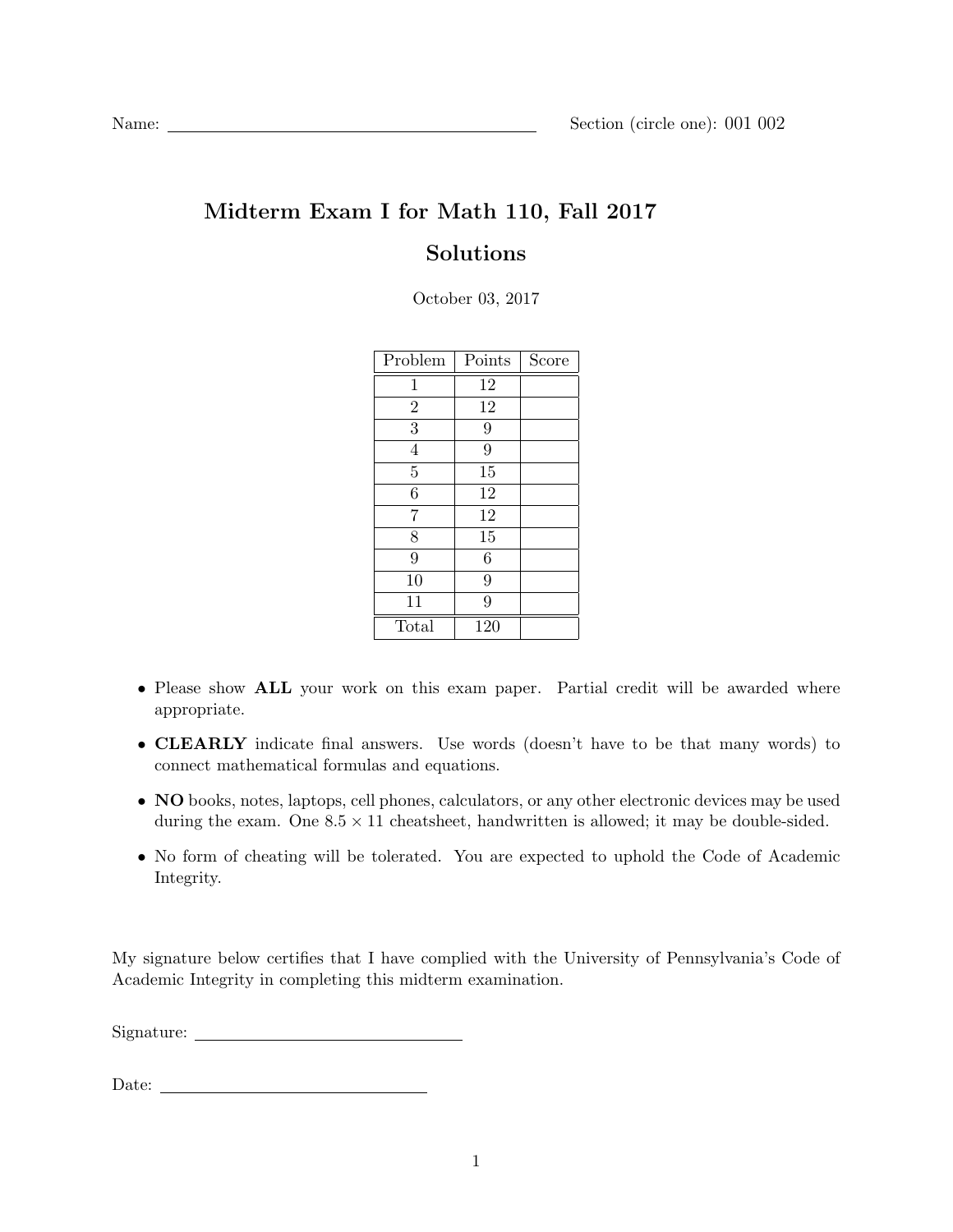## Midterm Exam I for Math 110, Fall 2017 Solutions

October 03, 2017

| Problem          | Points         | Score |
|------------------|----------------|-------|
| $\mathbf 1$      | 12             |       |
| $\overline{2}$   | 12             |       |
| 3                | 9              |       |
| $\overline{4}$   | $\overline{9}$ |       |
| $\overline{5}$   | 15             |       |
| $\boldsymbol{6}$ | 12             |       |
| 7                | 12             |       |
| 8                | 15             |       |
| 9                | 6              |       |
| 10               | 9              |       |
| 11               | 9              |       |
| Total            | 120            |       |

- Please show ALL your work on this exam paper. Partial credit will be awarded where appropriate.
- CLEARLY indicate final answers. Use words (doesn't have to be that many words) to connect mathematical formulas and equations.
- NO books, notes, laptops, cell phones, calculators, or any other electronic devices may be used during the exam. One  $8.5 \times 11$  cheatsheet, handwritten is allowed; it may be double-sided.
- No form of cheating will be tolerated. You are expected to uphold the Code of Academic Integrity.

My signature below certifies that I have complied with the University of Pennsylvania's Code of Academic Integrity in completing this midterm examination.

Signature:

Date: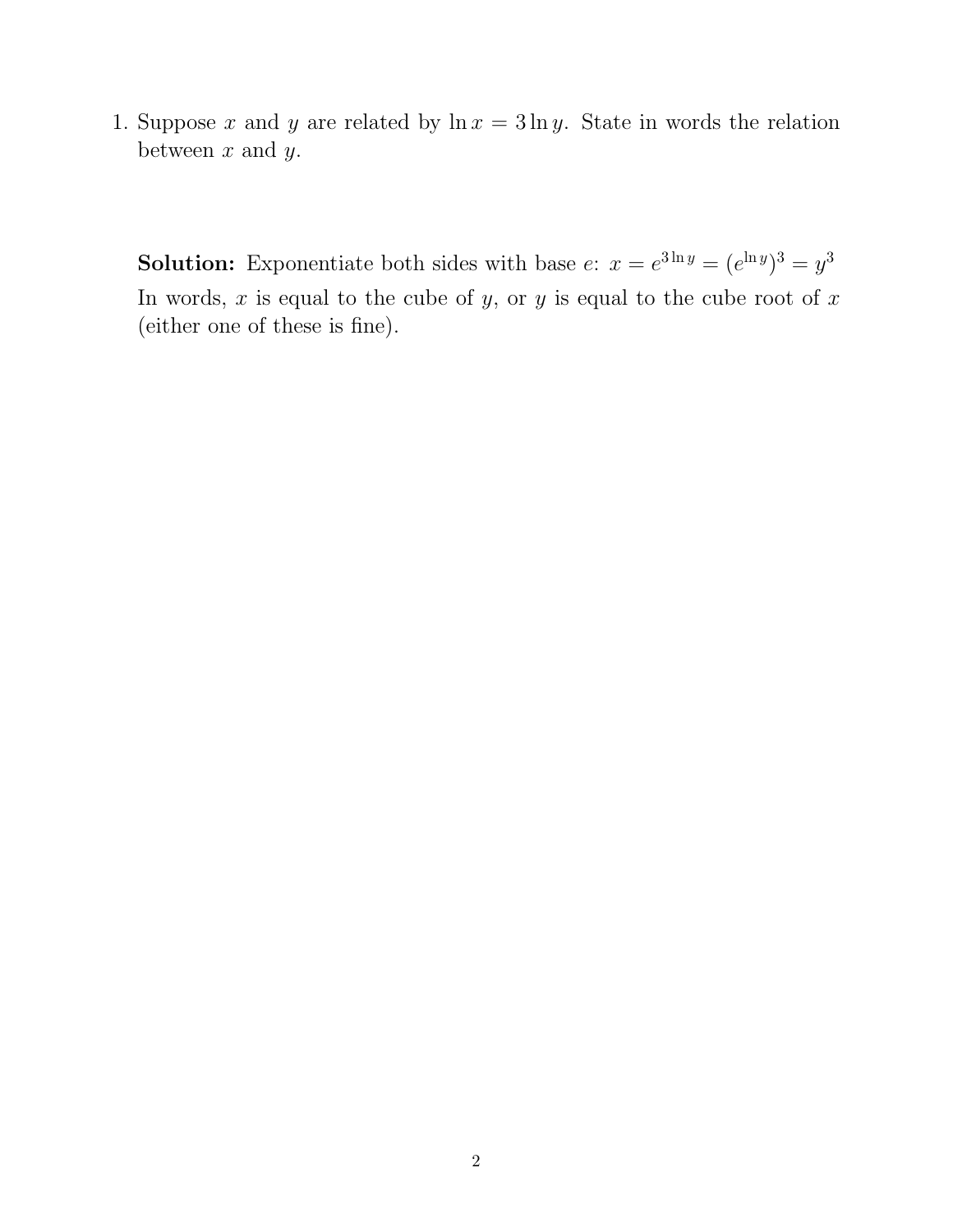1. Suppose x and y are related by  $\ln x = 3 \ln y$ . State in words the relation between  $x$  and  $y$ .

**Solution:** Exponentiate both sides with base  $e: x = e^{3 \ln y} = (e^{\ln y})^3 = y^3$ In words,  $x$  is equal to the cube of  $y$ , or  $y$  is equal to the cube root of  $x$ (either one of these is fine).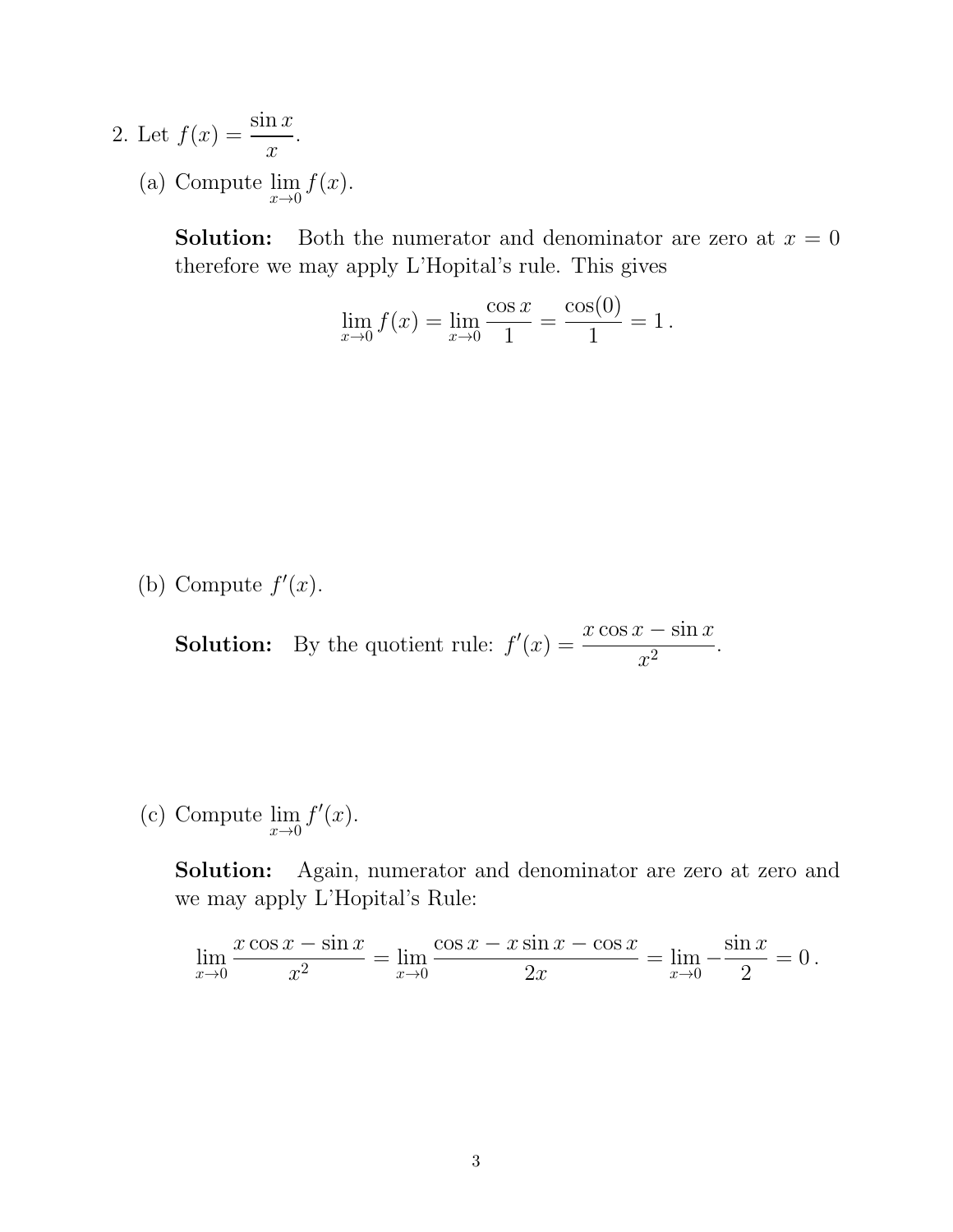2. Let  $f(x) = \frac{\sin x}{x}$  $\hat{x}$ . (a) Compute  $\lim_{x\to 0} f(x)$ .

> **Solution:** Both the numerator and denominator are zero at  $x = 0$ therefore we may apply L'Hopital's rule. This gives

$$
\lim_{x \to 0} f(x) = \lim_{x \to 0} \frac{\cos x}{1} = \frac{\cos(0)}{1} = 1.
$$

(b) Compute  $f'(x)$ .

**Solution:** By the quotient rule:  $f'(x) = \frac{x \cos x - \sin x}{x}$  $\frac{x^2}{x^2}$ .

(c) Compute  $\lim_{x\to 0} f'(x)$ .

Solution: Again, numerator and denominator are zero at zero and we may apply L'Hopital's Rule:

$$
\lim_{x \to 0} \frac{x \cos x - \sin x}{x^2} = \lim_{x \to 0} \frac{\cos x - x \sin x - \cos x}{2x} = \lim_{x \to 0} -\frac{\sin x}{2} = 0.
$$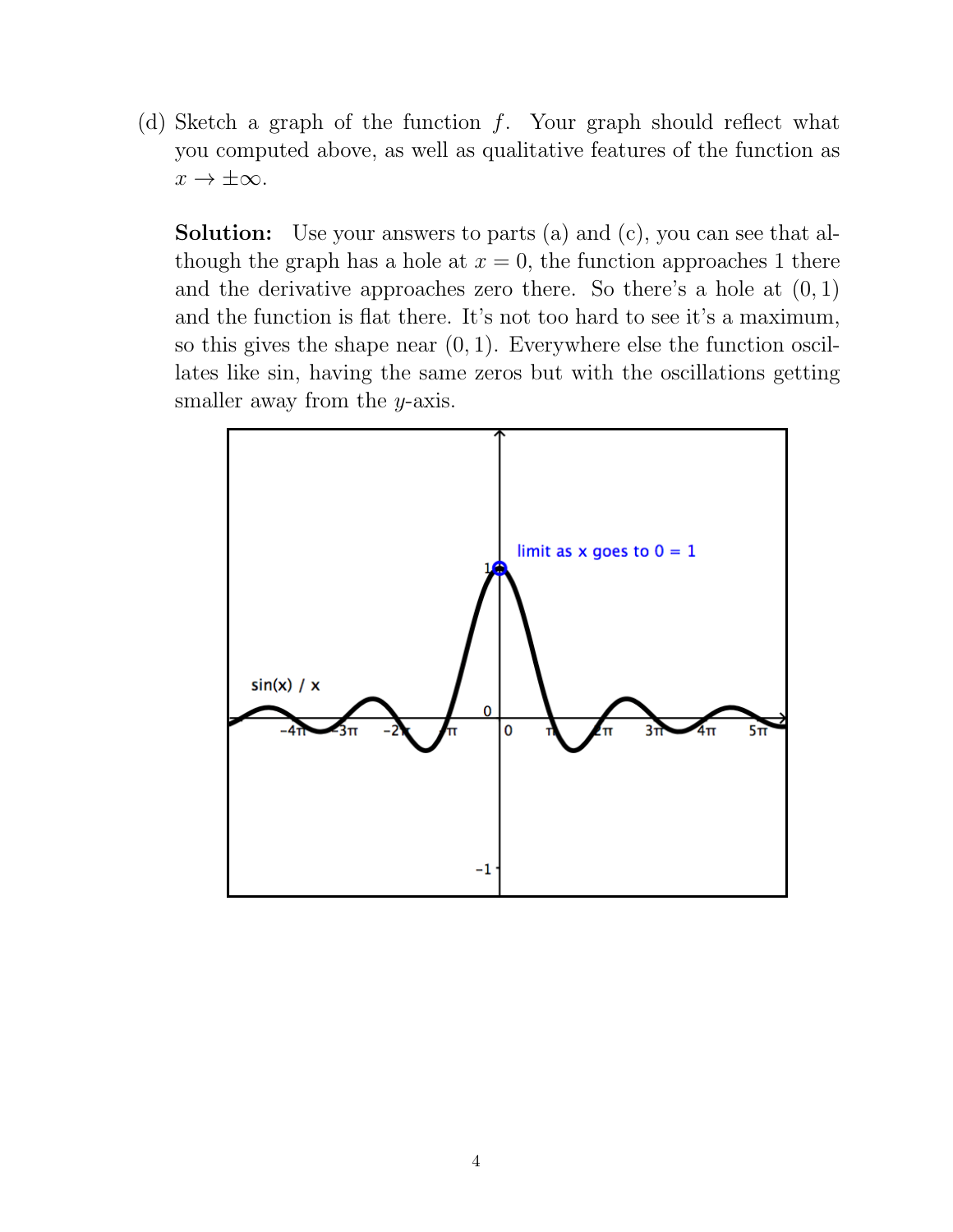(d) Sketch a graph of the function  $f$ . Your graph should reflect what you computed above, as well as qualitative features of the function as  $x \to \pm \infty$ .

Solution: Use your answers to parts (a) and (c), you can see that although the graph has a hole at  $x = 0$ , the function approaches 1 there and the derivative approaches zero there. So there's a hole at  $(0, 1)$ and the function is flat there. It's not too hard to see it's a maximum, so this gives the shape near  $(0, 1)$ . Everywhere else the function oscillates like sin, having the same zeros but with the oscillations getting smaller away from the *y*-axis.

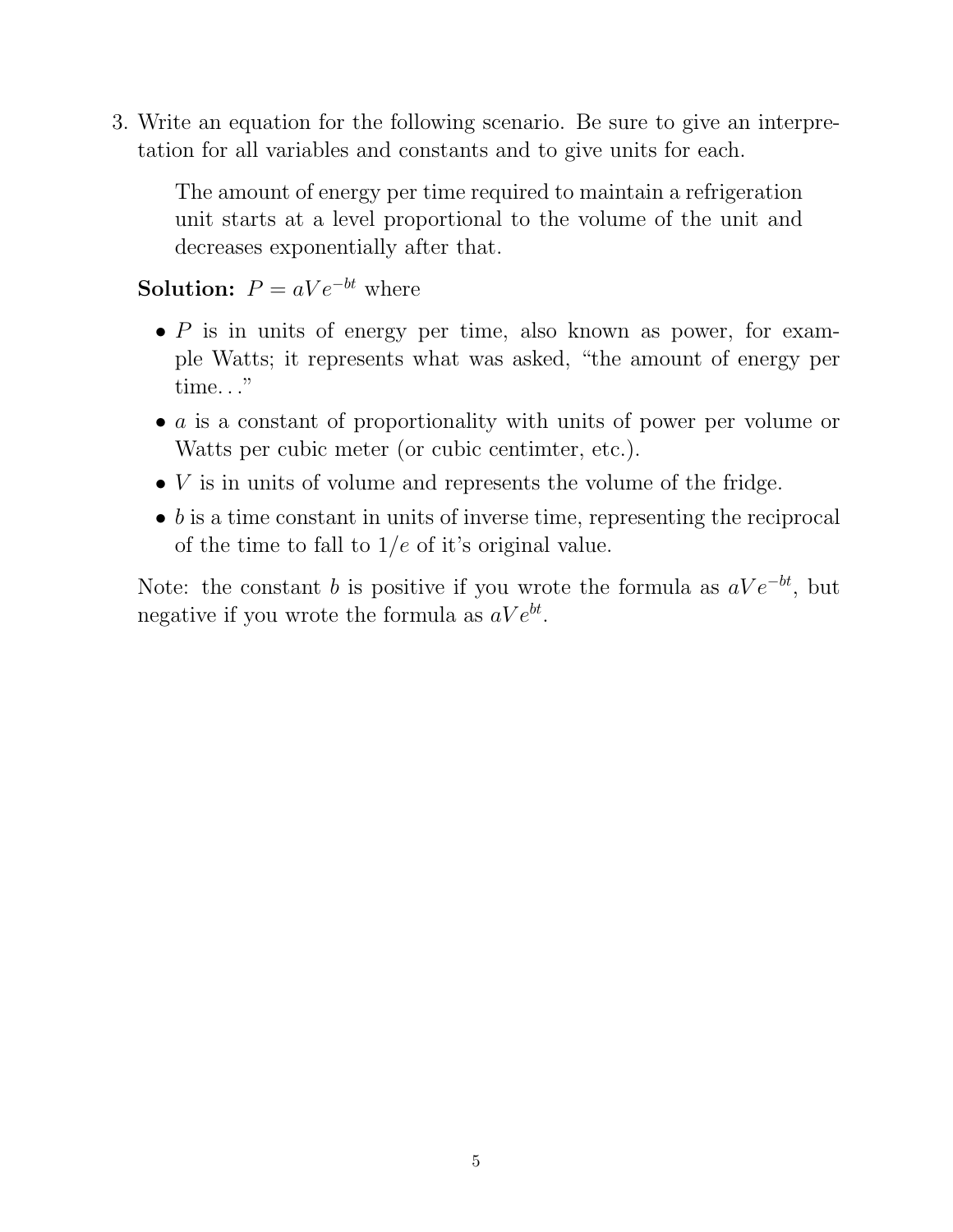3. Write an equation for the following scenario. Be sure to give an interpretation for all variables and constants and to give units for each.

The amount of energy per time required to maintain a refrigeration unit starts at a level proportional to the volume of the unit and decreases exponentially after that.

**Solution:**  $P = aVe^{-bt}$  where

- $\bullet$  P is in units of energy per time, also known as power, for example Watts; it represents what was asked, "the amount of energy per time..."
- $\bullet$  a is a constant of proportionality with units of power per volume or Watts per cubic meter (or cubic centimter, etc.).
- $\bullet$  V is in units of volume and represents the volume of the fridge.
- $\bullet$  b is a time constant in units of inverse time, representing the reciprocal of the time to fall to  $1/e$  of it's original value.

Note: the constant b is positive if you wrote the formula as  $aVe^{-bt}$ , but negative if you wrote the formula as  $aVe^{bt}$ .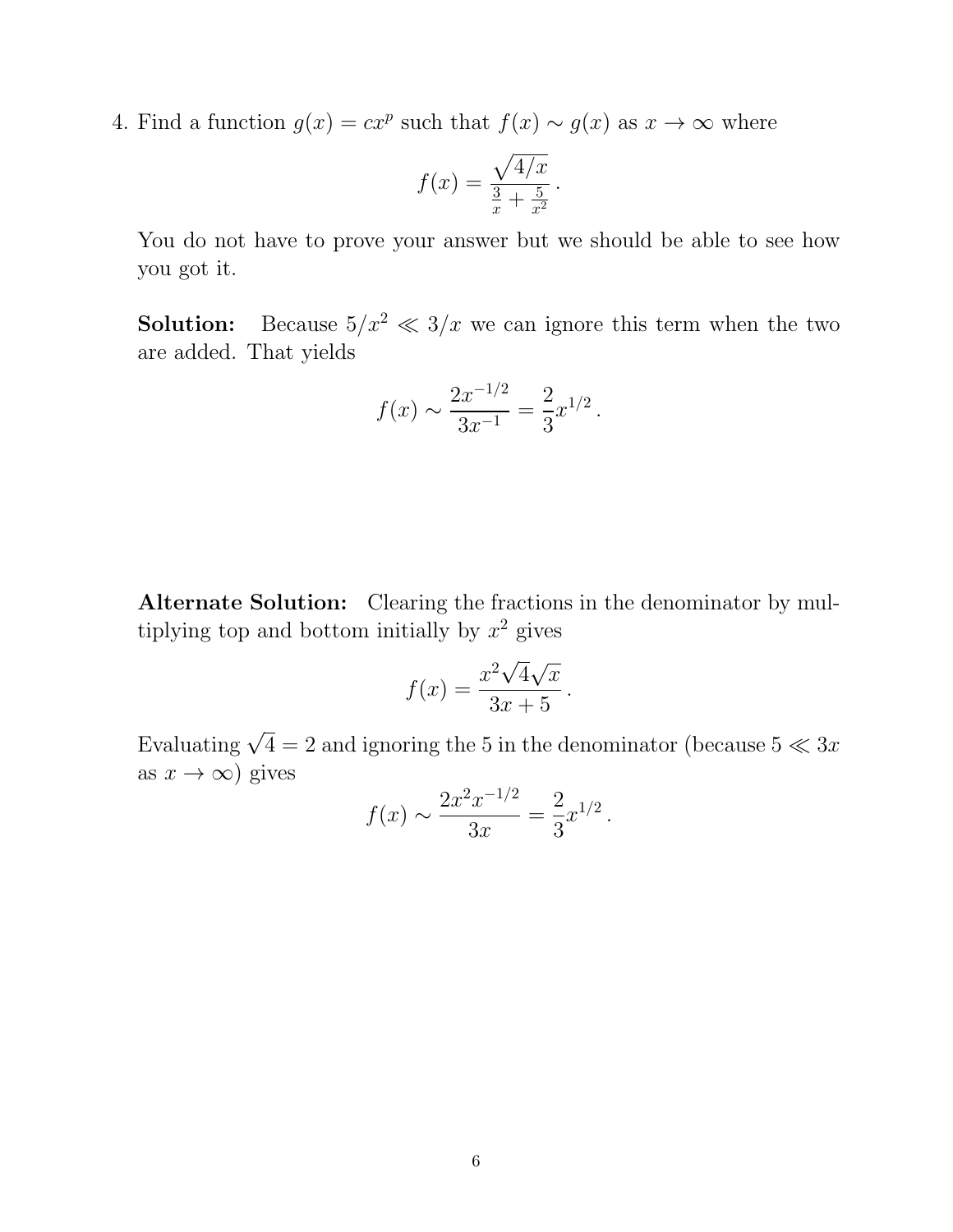4. Find a function  $g(x) = cx^p$  such that  $f(x) \sim g(x)$  as  $x \to \infty$  where

$$
f(x) = \frac{\sqrt{4/x}}{\frac{3}{x} + \frac{5}{x^2}}.
$$

You do not have to prove your answer but we should be able to see how you got it.

**Solution:** Because  $5/x^2 \ll 3/x$  we can ignore this term when the two are added. That yields

$$
f(x) \sim \frac{2x^{-1/2}}{3x^{-1}} = \frac{2}{3}x^{1/2}.
$$

Alternate Solution: Clearing the fractions in the denominator by multiplying top and bottom initially by  $x^2$  gives

$$
f(x) = \frac{x^2 \sqrt{4} \sqrt{x}}{3x + 5}.
$$

Evaluating  $\sqrt{4} = 2$  and ignoring the 5 in the denominator (because  $5 \ll 3x$ as  $x \to \infty$ ) gives  $\frac{1}{2}$ 

$$
f(x) \sim \frac{2x^2x^{-1/2}}{3x} = \frac{2}{3}x^{1/2}.
$$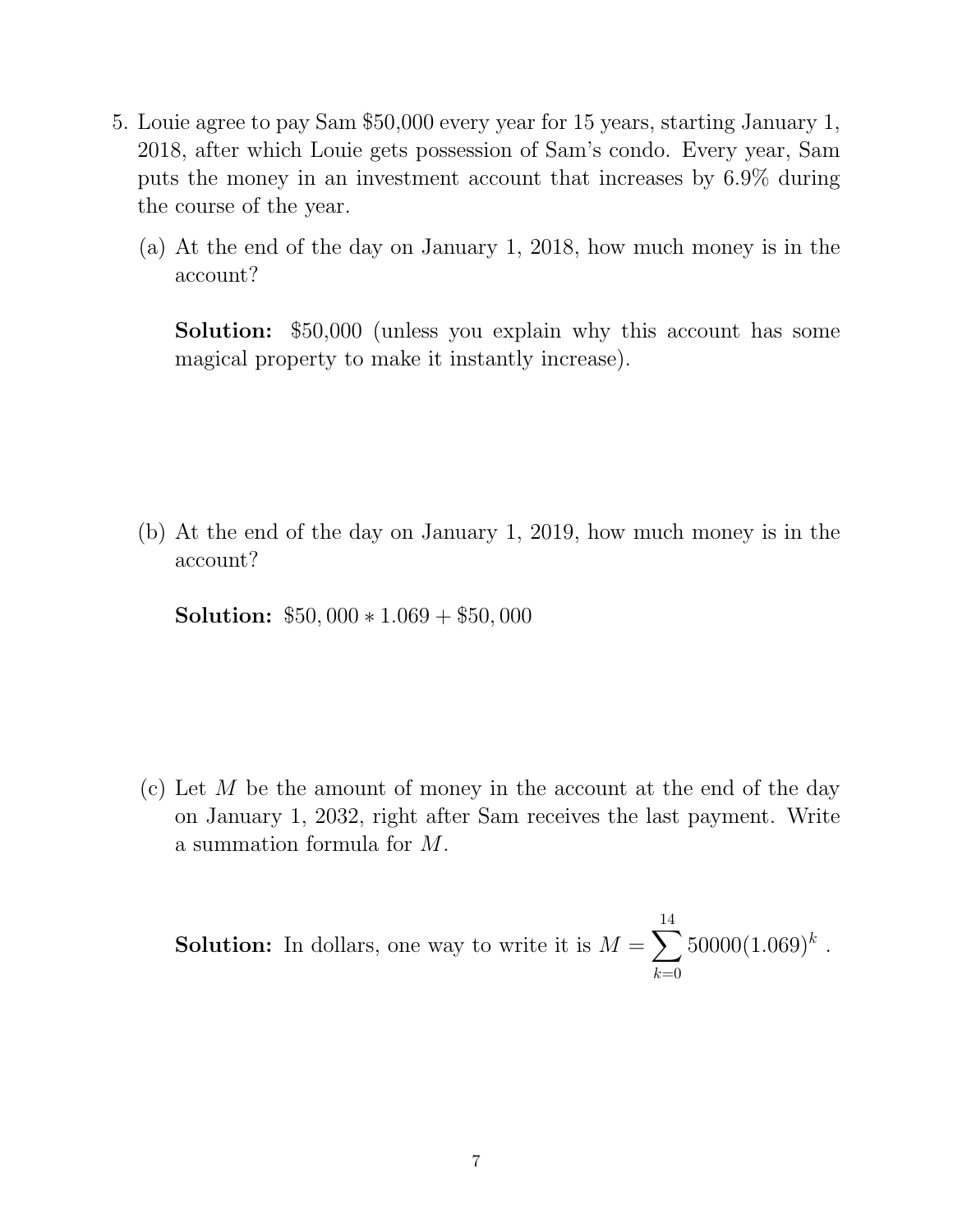- 5. Louie agree to pay Sam \$50,000 every year for 15 years, starting January 1, 2018, after which Louie gets possession of Sam's condo. Every year, Sam puts the money in an investment account that increases by 6.9% during the course of the year.
	- (a) At the end of the day on January 1, 2018, how much money is in the account?

Solution: \$50,000 (unless you explain why this account has some magical property to make it instantly increase).

(b) At the end of the day on January 1, 2019, how much money is in the account?

**Solution:**  $$50,000 * 1.069 + $50,000$ 

(c) Let  $M$  be the amount of money in the account at the end of the day on January 1, 2032, right after Sam receives the last payment. Write a summation formula for M.

**Solution:** In dollars, one way to write it is  $M = \sum$ 14  $k=0$  $50000(1.069)^k$  .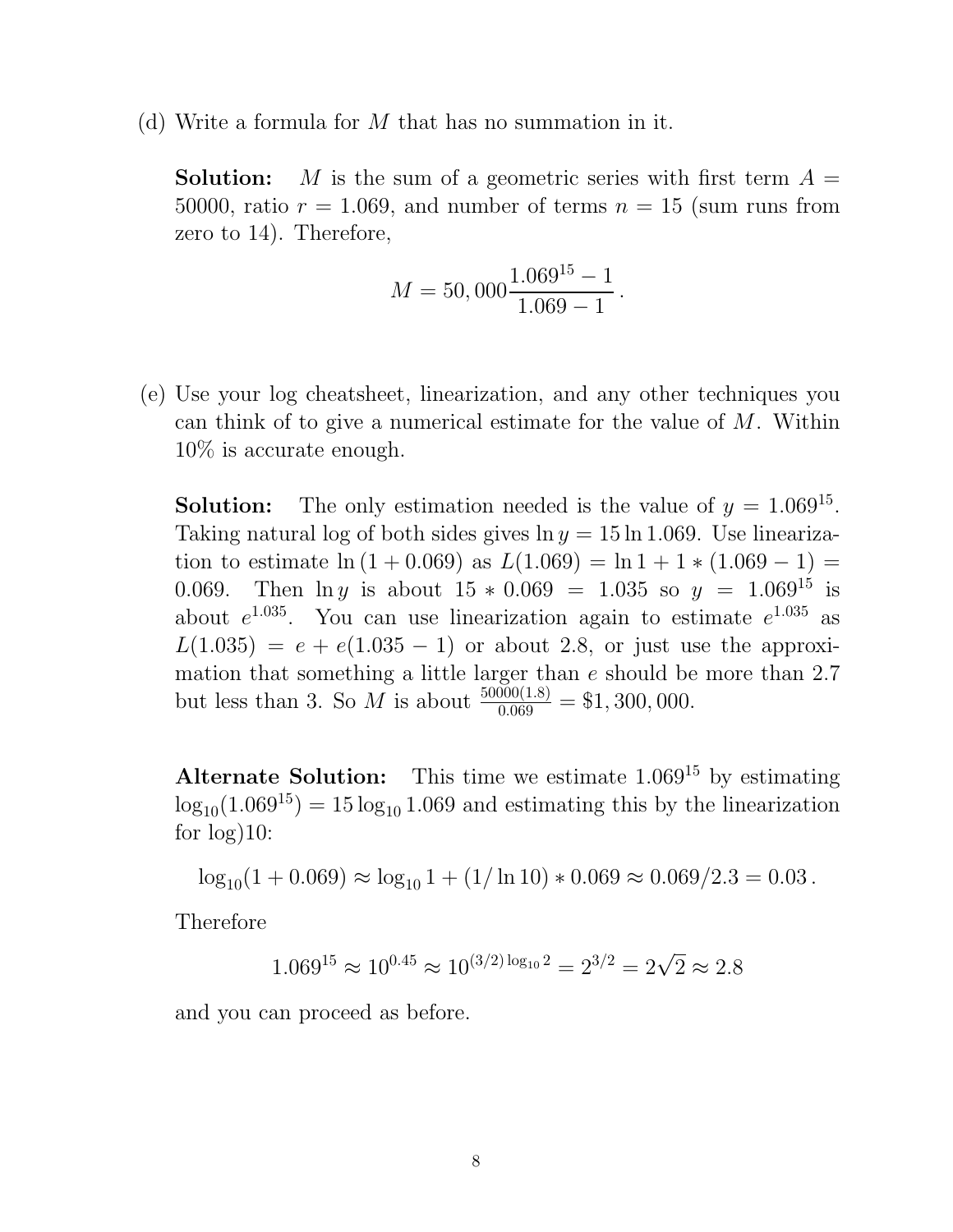(d) Write a formula for M that has no summation in it.

**Solution:** M is the sum of a geometric series with first term  $A =$ 50000, ratio  $r = 1.069$ , and number of terms  $n = 15$  (sum runs from zero to 14). Therefore,

$$
M = 50,000 \frac{1.069^{15} - 1}{1.069 - 1}.
$$

(e) Use your log cheatsheet, linearization, and any other techniques you can think of to give a numerical estimate for the value of M. Within 10% is accurate enough.

**Solution:** The only estimation needed is the value of  $y = 1.069^{15}$ . Taking natural log of both sides gives  $\ln y = 15 \ln 1.069$ . Use linearization to estimate  $\ln (1 + 0.069)$  as  $L(1.069) = \ln 1 + 1 * (1.069 - 1) =$ 0.069. Then  $\ln y$  is about  $15 * 0.069 = 1.035$  so  $y = 1.069^{15}$  is about  $e^{1.035}$ . You can use linearization again to estimate  $e^{1.035}$  as  $L(1.035) = e + e(1.035 - 1)$  or about 2.8, or just use the approximation that something a little larger than e should be more than 2.7 but less than 3. So M is about  $\frac{50000(1.8)}{0.069} = $1,300,000$ .

Alternate Solution: This time we estimate  $1.069^{15}$  by estimating  $\log_{10}(1.069^{15}) = 15 \log_{10} 1.069$  and estimating this by the linearization for  $log(10)$ :

 $\log_{10}(1 + 0.069) \approx \log_{10} 1 + (1/\ln 10) * 0.069 \approx 0.069/2.3 = 0.03$ .

Therefore

$$
1.069^{15} \approx 10^{0.45} \approx 10^{(3/2) \log_{10} 2} = 2^{3/2} = 2\sqrt{2} \approx 2.8
$$

and you can proceed as before.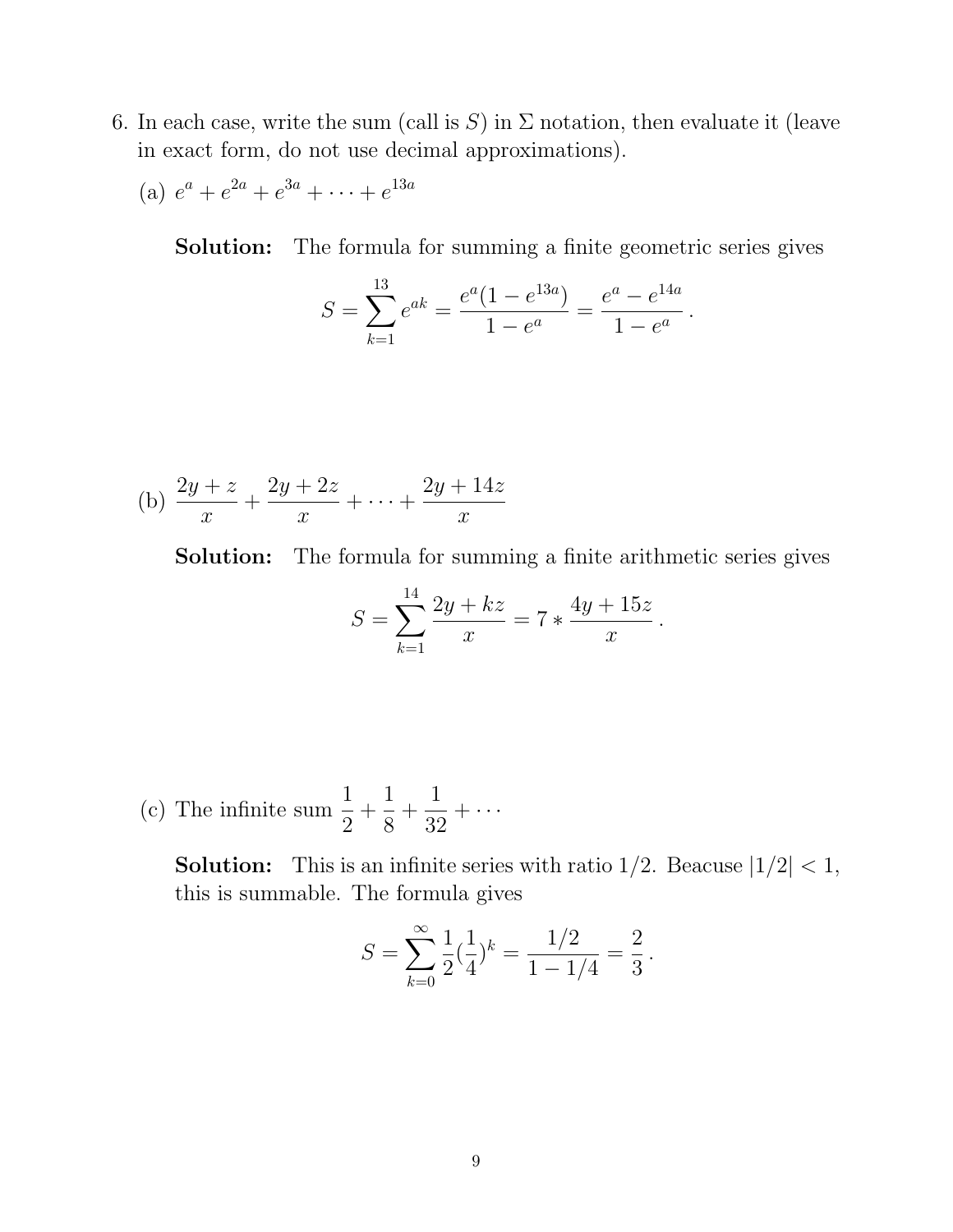6. In each case, write the sum (call is S) in  $\Sigma$  notation, then evaluate it (leave in exact form, do not use decimal approximations).

(a) 
$$
e^a + e^{2a} + e^{3a} + \cdots + e^{13a}
$$

Solution: The formula for summing a finite geometric series gives

$$
S = \sum_{k=1}^{13} e^{ak} = \frac{e^a (1 - e^{13a})}{1 - e^a} = \frac{e^a - e^{14a}}{1 - e^a}.
$$

(b) 
$$
\frac{2y+z}{x} + \frac{2y+2z}{x} + \dots + \frac{2y+14z}{x}
$$

Solution: The formula for summing a finite arithmetic series gives

$$
S = \sum_{k=1}^{14} \frac{2y + kz}{x} = 7 * \frac{4y + 15z}{x}.
$$

(c) The infinite sum  $\frac{1}{2}$ 2  $+$ 1 8  $+$ 1 32  $+ \cdots$ 

**Solution:** This is an infinite series with ratio  $1/2$ . Beacuse  $|1/2| < 1$ , this is summable. The formula gives

$$
S = \sum_{k=0}^{\infty} \frac{1}{2} (\frac{1}{4})^k = \frac{1/2}{1 - 1/4} = \frac{2}{3}
$$

.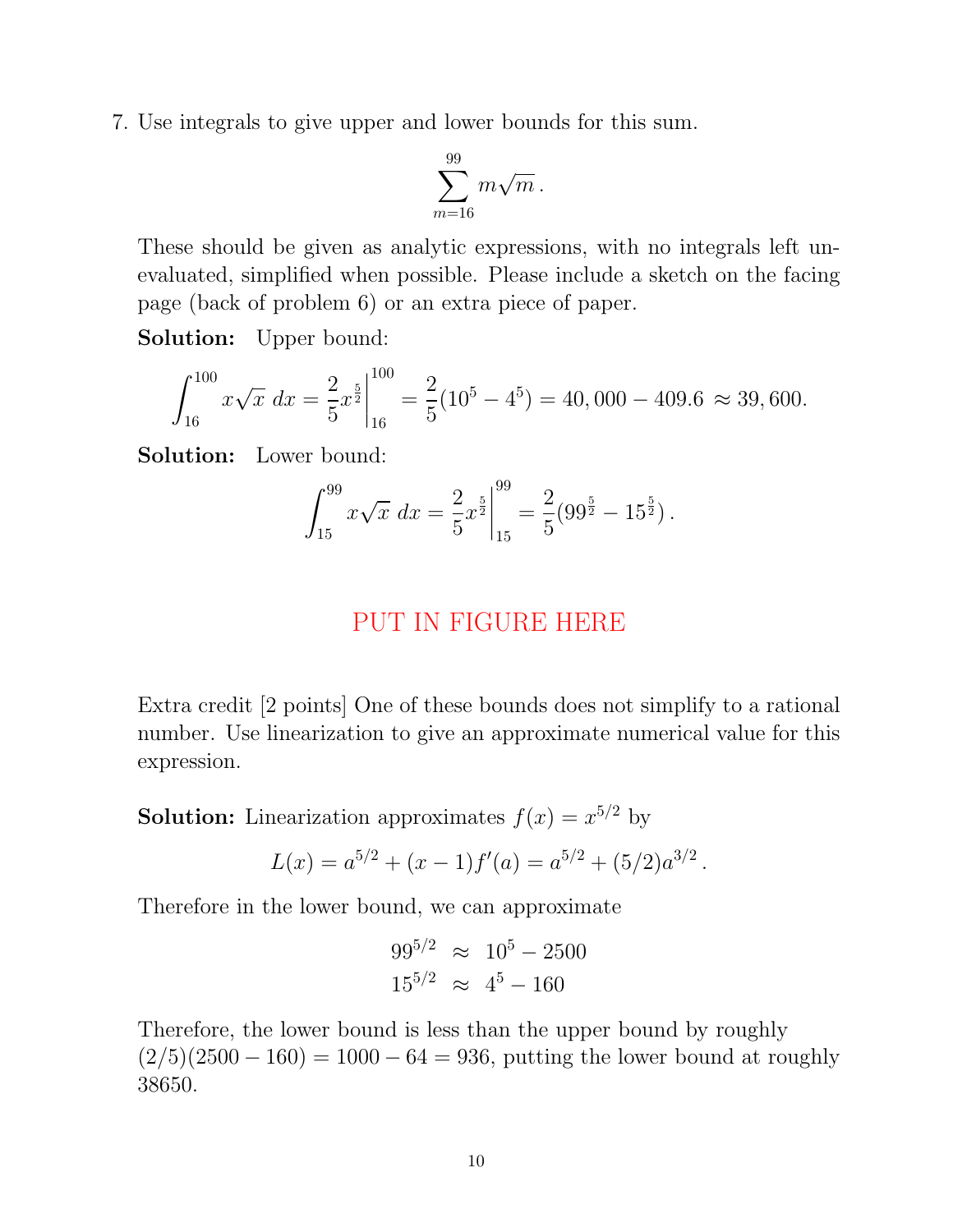7. Use integrals to give upper and lower bounds for this sum.

$$
\sum_{m=16}^{99} m\sqrt{m}.
$$

These should be given as analytic expressions, with no integrals left unevaluated, simplified when possible. Please include a sketch on the facing page (back of problem 6) or an extra piece of paper.

Solution: Upper bound:

$$
\int_{16}^{100} x\sqrt{x} \, dx = \frac{2}{5} x^{\frac{5}{2}} \bigg|_{16}^{100} = \frac{2}{5} (10^5 - 4^5) = 40,000 - 409.6 \approx 39,600.
$$

Solution: Lower bound:

$$
\int_{15}^{99} x\sqrt{x} \, dx = \frac{2}{5} x^{\frac{5}{2}} \bigg|_{15}^{99} = \frac{2}{5} (99^{\frac{5}{2}} - 15^{\frac{5}{2}}).
$$

## PUT IN FIGURE HERE

Extra credit [2 points] One of these bounds does not simplify to a rational number. Use linearization to give an approximate numerical value for this expression.

**Solution:** Linearization approximates  $f(x) = x^{5/2}$  by

$$
L(x) = a^{5/2} + (x - 1)f'(a) = a^{5/2} + (5/2)a^{3/2}.
$$

Therefore in the lower bound, we can approximate

$$
99^{5/2} \approx 10^5 - 2500
$$
  

$$
15^{5/2} \approx 4^5 - 160
$$

Therefore, the lower bound is less than the upper bound by roughly  $(2/5)(2500 - 160) = 1000 - 64 = 936$ , putting the lower bound at roughly 38650.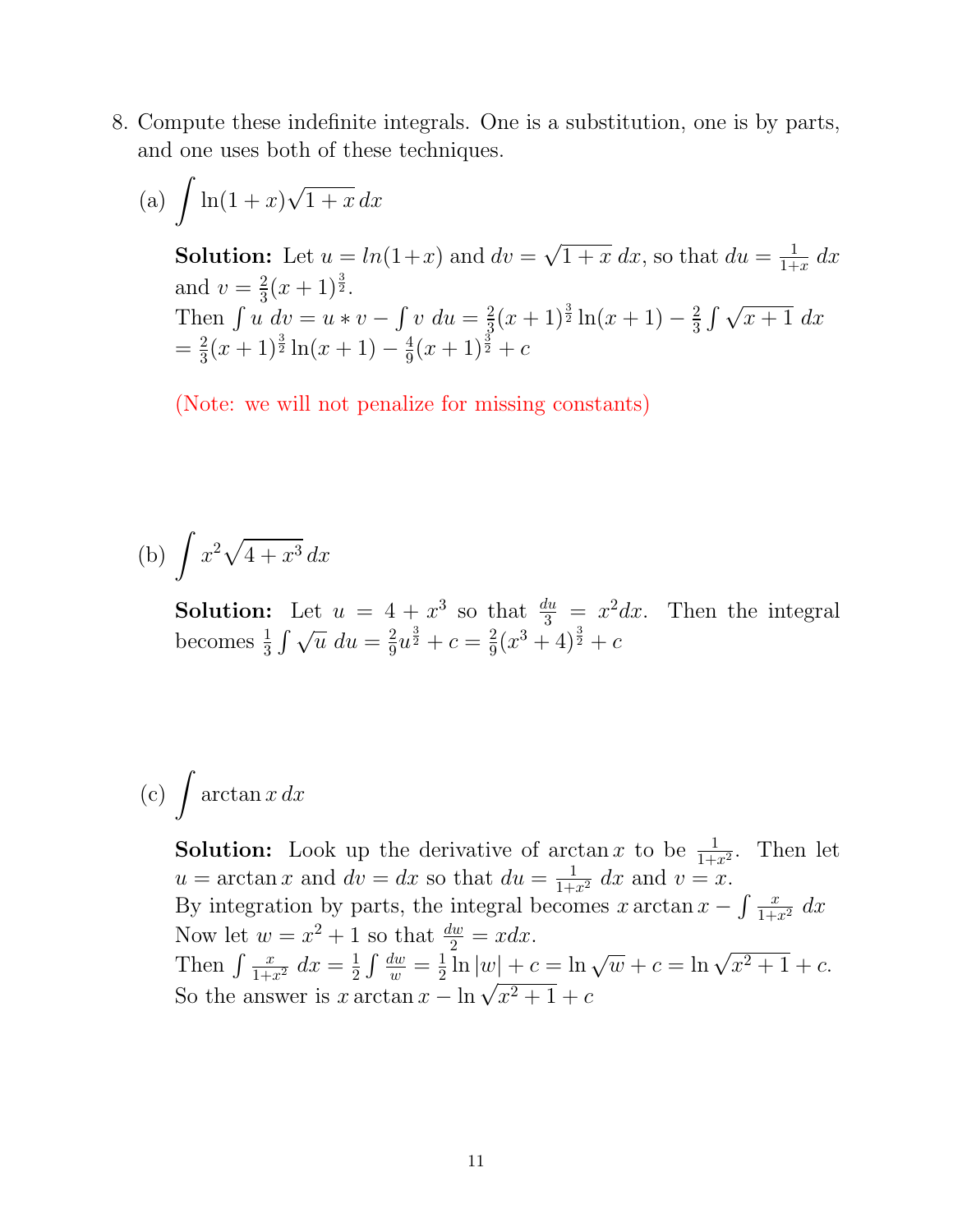- 8. Compute these indefinite integrals. One is a substitution, one is by parts, and one uses both of these techniques.
	- (a)  $\int \ln(1+x)$ √  $1 + x dx$ **Solution:** Let  $u = ln(1+x)$  and  $dv =$ √  $\overline{1+x}$  dx, so that  $du=\frac{1}{1+x}$  $rac{1}{1+x}$  dx and  $v = \frac{2}{3}(x+1)^{\frac{3}{2}}$ . 3 Then  $\int u dv = u * v - \int v du = \frac{2}{3}$  $\frac{2}{3}(x+1)^{\frac{3}{2}}\ln(x+1)-\frac{2}{3}$  $rac{2}{3}\int \sqrt{x+1} dx$  $=\frac{2}{3}$  $\frac{2}{3}(x+1)^{\frac{3}{2}}\ln(x+1)-\frac{4}{9}$  $\frac{4}{9}(x+1)^{\frac{3}{2}}+c$

(Note: we will not penalize for missing constants)

$$
(b) \int x^2 \sqrt{4+x^3} \, dx
$$

**Solution:** Let  $u = 4 + x^3$  so that  $\frac{du}{3} = x^2 dx$ . Then the integral becomes  $\frac{1}{3} \int \sqrt{u} \, du = \frac{2}{9}$  $rac{2}{9}u^{\frac{3}{2}} + c = \frac{2}{9}$  $\frac{2}{9}(x^3+4)^{\frac{3}{2}}+c$ 

## (c)  $\int \arctan x dx$

**Solution:** Look up the derivative of arctan x to be  $\frac{1}{1+x^2}$ . Then let  $u = \arctan x$  and  $dv = dx$  so that  $du = \frac{1}{1+t}$  $\frac{1}{1+x^2}$  dx and  $v=x$ . By integration by parts, the integral becomes x arctan  $x - \int \frac{x}{1+x^2}$  $rac{x}{1+x^2}$  dx Now let  $w = x^2 + 1$  so that  $\frac{dw}{2} = x dx$ . Then  $\int \frac{x}{1+x^2}$  $rac{x}{1+x^2}$   $dx = \frac{1}{2}$  $\frac{1}{2}\int \frac{dw}{w} = \frac{1}{2}$  $\frac{1}{2}$  ln |w| + c = ln  $\sqrt{w}$  + c = ln  $\sqrt{x^2+1}$  + c. So the answer is x arctan  $x - \ln \sqrt{x^2 + 1} + c$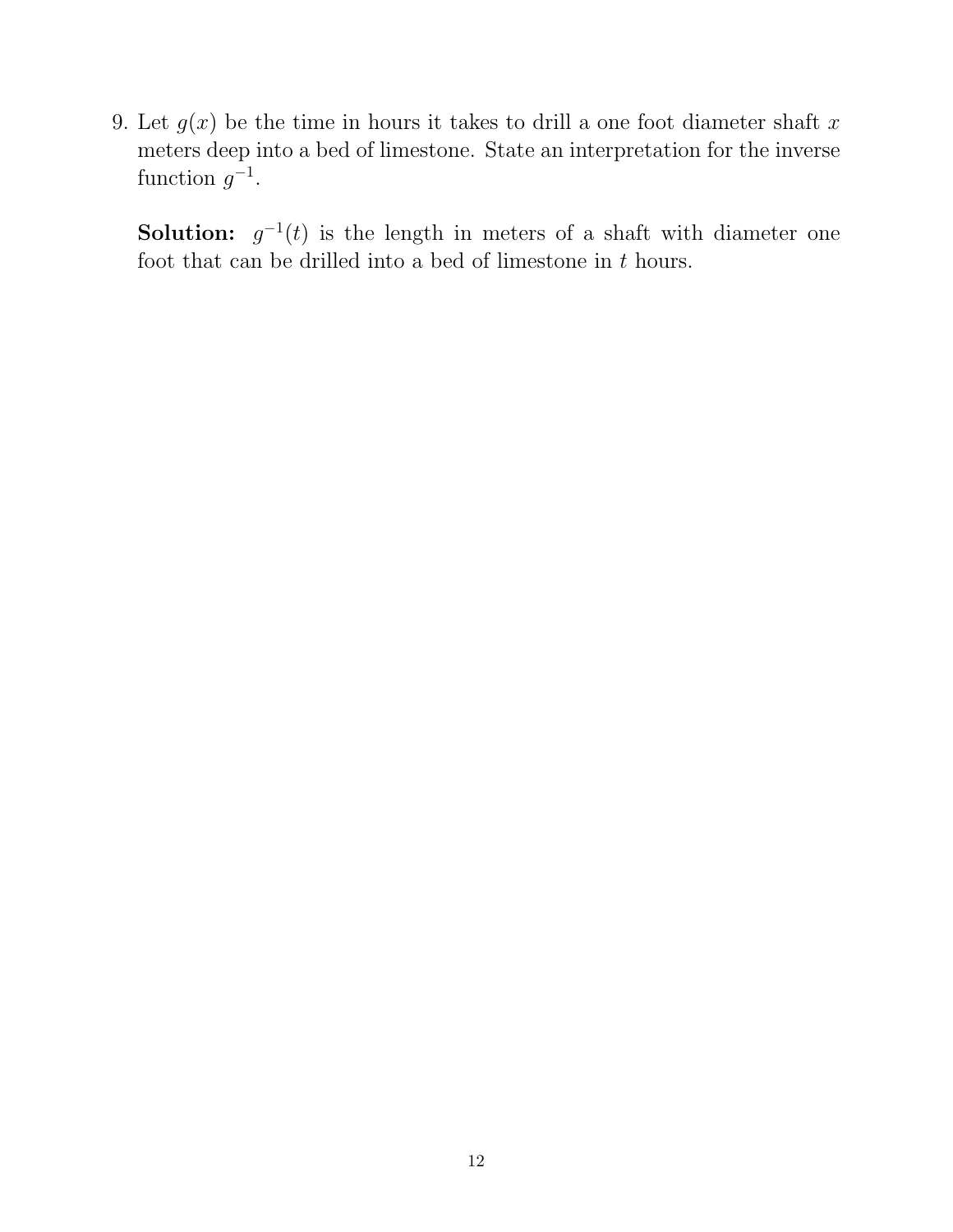9. Let  $g(x)$  be the time in hours it takes to drill a one foot diameter shaft x meters deep into a bed of limestone. State an interpretation for the inverse function  $g^{-1}$ .

**Solution:**  $g^{-1}(t)$  is the length in meters of a shaft with diameter one foot that can be drilled into a bed of limestone in  $t$  hours.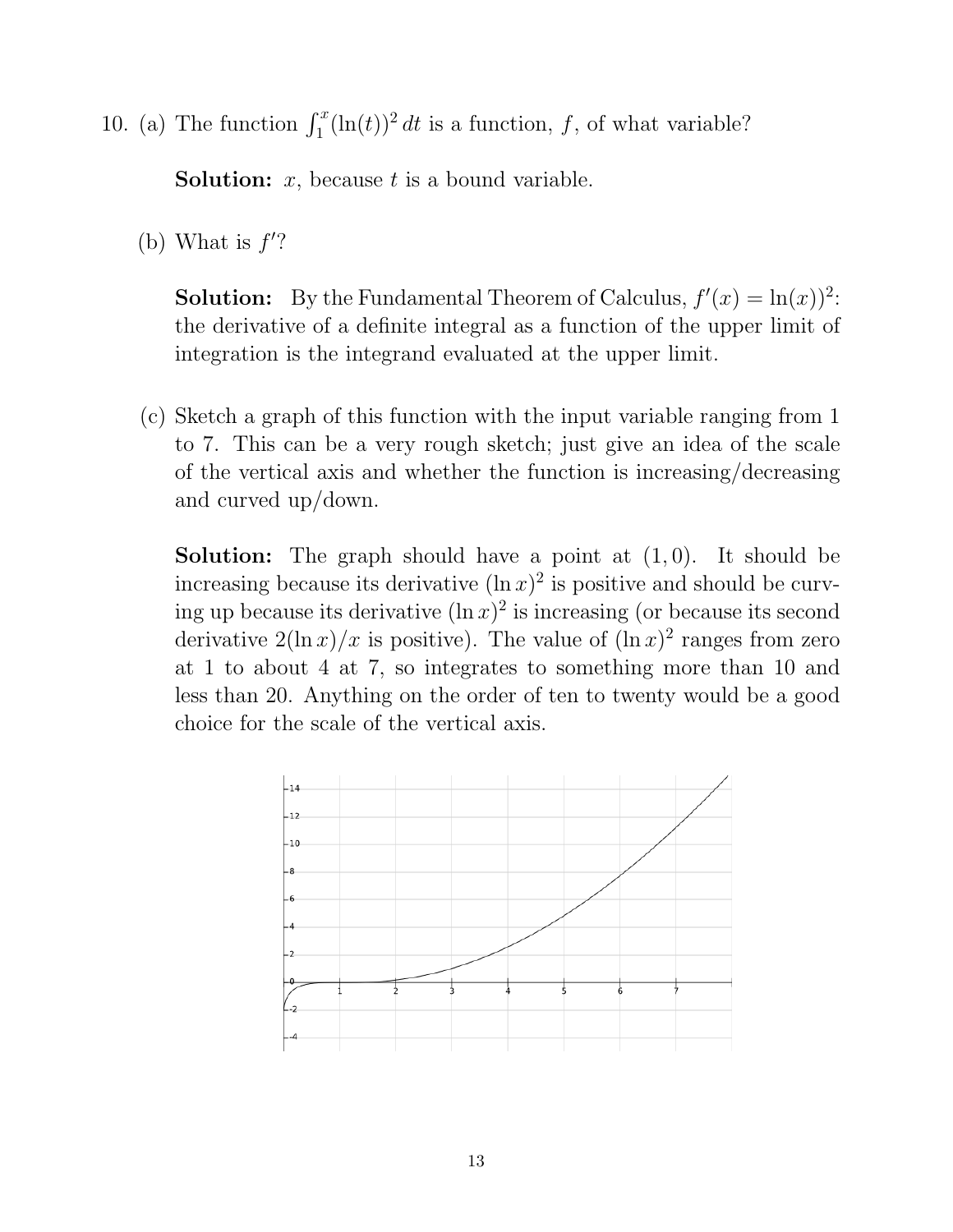10. (a) The function  $\int_1^x (\ln(t))^2 dt$  is a function, f, of what variable?

**Solution:**  $x$ , because  $t$  is a bound variable.

(b) What is  $f$ ?

**Solution:** By the Fundamental Theorem of Calculus,  $f'(x) = \ln(x)^2$ : the derivative of a definite integral as a function of the upper limit of integration is the integrand evaluated at the upper limit.

(c) Sketch a graph of this function with the input variable ranging from 1 to 7. This can be a very rough sketch; just give an idea of the scale of the vertical axis and whether the function is increasing/decreasing and curved up/down.

**Solution:** The graph should have a point at  $(1, 0)$ . It should be increasing because its derivative  $(\ln x)^2$  is positive and should be curving up because its derivative  $(\ln x)^2$  is increasing (or because its second derivative  $2(\ln x)/x$  is positive). The value of  $(\ln x)^2$  ranges from zero at 1 to about 4 at 7, so integrates to something more than 10 and less than 20. Anything on the order of ten to twenty would be a good choice for the scale of the vertical axis.

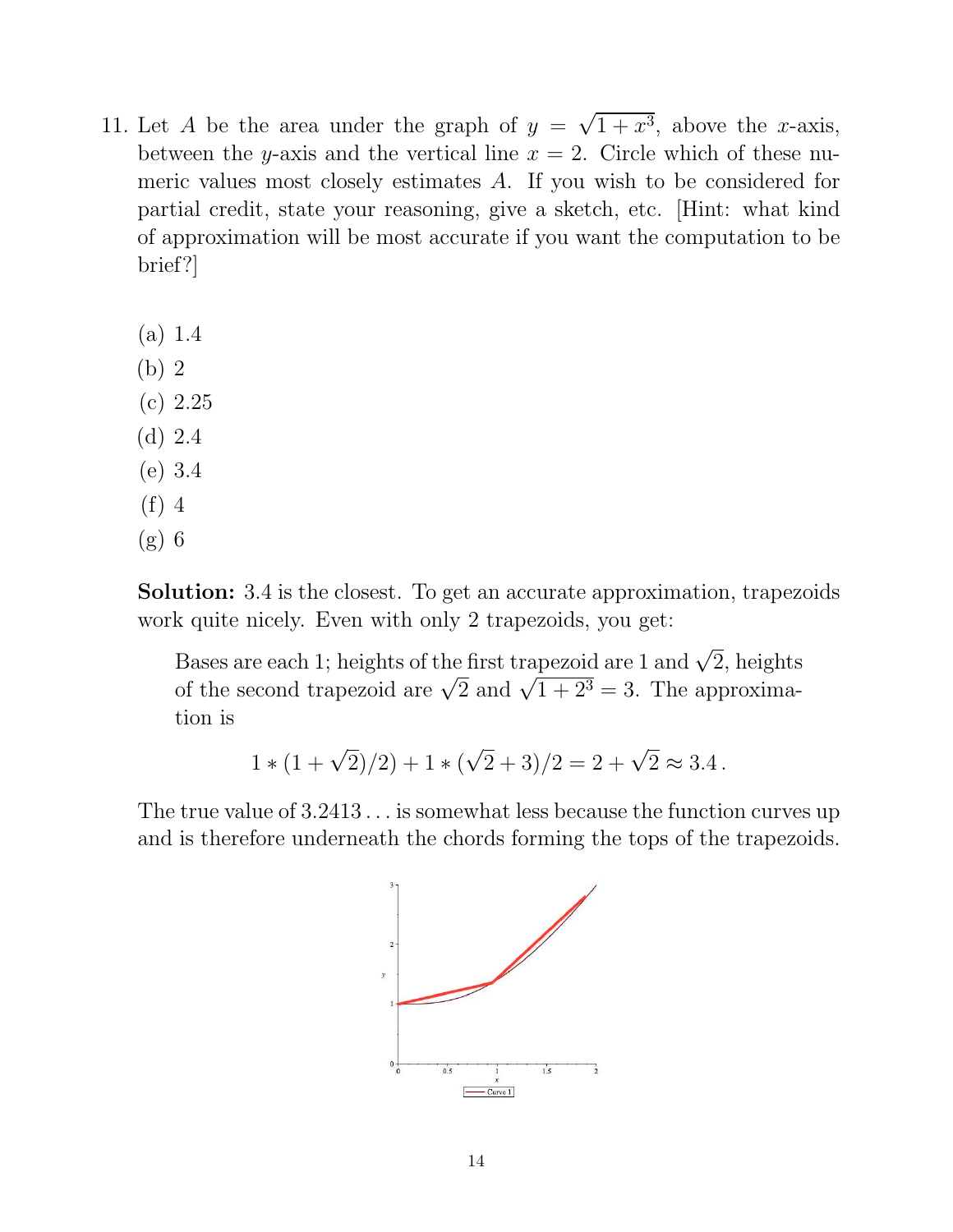- 11. Let A be the area under the graph of  $y =$ √  $1+x^3$ , above the x-axis, between the y-axis and the vertical line  $x = 2$ . Circle which of these numeric values most closely estimates A. If you wish to be considered for partial credit, state your reasoning, give a sketch, etc. [Hint: what kind of approximation will be most accurate if you want the computation to be brief?]
	- (a) 1.4
	- (b) 2
	- (c) 2.25
	- (d) 2.4
	- (e) 3.4
	- (f) 4
	- (g) 6

Solution: 3.4 is the closest. To get an accurate approximation, trapezoids work quite nicely. Even with only 2 trapezoids, you get:

Bases are each 1; heights of the first trapezoid are 1 and  $\sqrt{2}$ , heights bases are each 1; neights of the first trapezoid are 1 and  $\sqrt{2}$ , neights of the second trapezoid are  $\sqrt{2}$  and  $\sqrt{1+2^3} = 3$ . The approximation is

$$
1 * (1 + \sqrt{2})/2) + 1 * (\sqrt{2} + 3)/2 = 2 + \sqrt{2} \approx 3.4.
$$

The true value of 3.2413 . . . is somewhat less because the function curves up and is therefore underneath the chords forming the tops of the trapezoids.